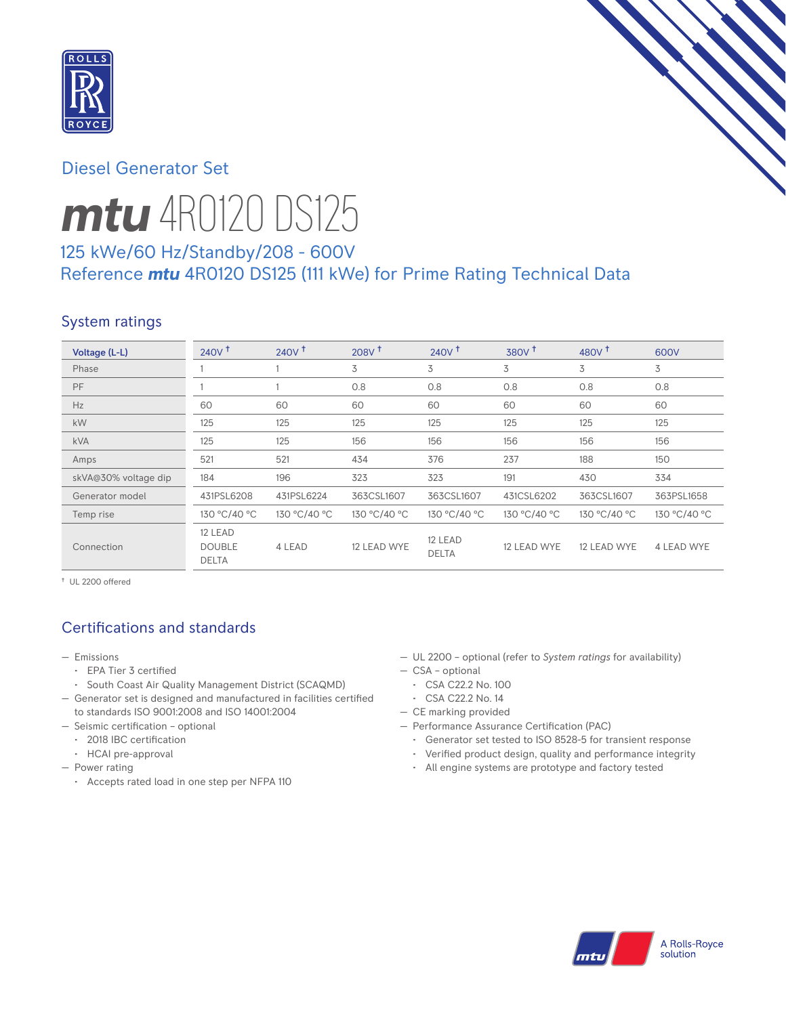

# Diesel Generator Set

# *mtu* 4R0120 DS125

# 125 kWe/60 Hz/Standby/208 - 600V Reference *mtu* 4R0120 DS125 (111 kWe) for Prime Rating Technical Data

# System ratings

| Voltage (L-L)        | $240V$ <sup>+</sup>                      | $240V$ <sup>+</sup> | 208V <sup>†</sup> | 240V <sup>†</sup>       | 380V <sup>+</sup> | 480 $V†$     | 600V         |
|----------------------|------------------------------------------|---------------------|-------------------|-------------------------|-------------------|--------------|--------------|
| Phase                |                                          |                     | 3                 | 3                       | 3                 | 3            | 3            |
| PF                   |                                          |                     | 0.8               | 0.8                     | 0.8               | 0.8          | 0.8          |
| Hz                   | 60                                       | 60                  | 60                | 60                      | 60                | 60           | 60           |
| kW                   | 125                                      | 125                 | 125               | 125                     | 125               | 125          | 125          |
| <b>kVA</b>           | 125                                      | 125                 | 156               | 156                     | 156               | 156          | 156          |
| Amps                 | 521                                      | 521                 | 434               | 376                     | 237               | 188          | 150          |
| skVA@30% voltage dip | 184                                      | 196                 | 323               | 323                     | 191               | 430          | 334          |
| Generator model      | 431PSL6208                               | 431PSL6224          | 363CSL1607        | 363CSL1607              | 431CSL6202        | 363CSL1607   | 363PSL1658   |
| Temp rise            | 130 °C/40 °C                             | 130 °C/40 °C        | 130 °C/40 °C      | 130 °C/40 °C            | 130 °C/40 °C      | 130 °C/40 °C | 130 °C/40 °C |
| Connection           | 12 LEAD<br><b>DOUBLE</b><br><b>DELTA</b> | 4 LEAD              | 12 LEAD WYE       | 12 LEAD<br><b>DELTA</b> | 12 LEAD WYE       | 12 LEAD WYE  | 4 LEAD WYE   |

† UL 2200 offered

# Certifications and standards

- Emissions
	- EPA Tier 3 certified
	- South Coast Air Quality Management District (SCAQMD)
- Generator set is designed and manufactured in facilities certified to standards ISO 9001:2008 and ISO 14001:2004
- Seismic certification optional
	- 2018 IBC certification
	- HCAI pre-approval
- Power rating
	- Accepts rated load in one step per NFPA 110
- UL 2200 optional (refer to *System ratings* for availability)
- CSA optional
- CSA C22.2 No. 100
- CSA C22.2 No. 14
- CE marking provided
- Performance Assurance Certification (PAC)
	- Generator set tested to ISO 8528-5 for transient response
	- Verified product design, quality and performance integrity
	- All engine systems are prototype and factory tested

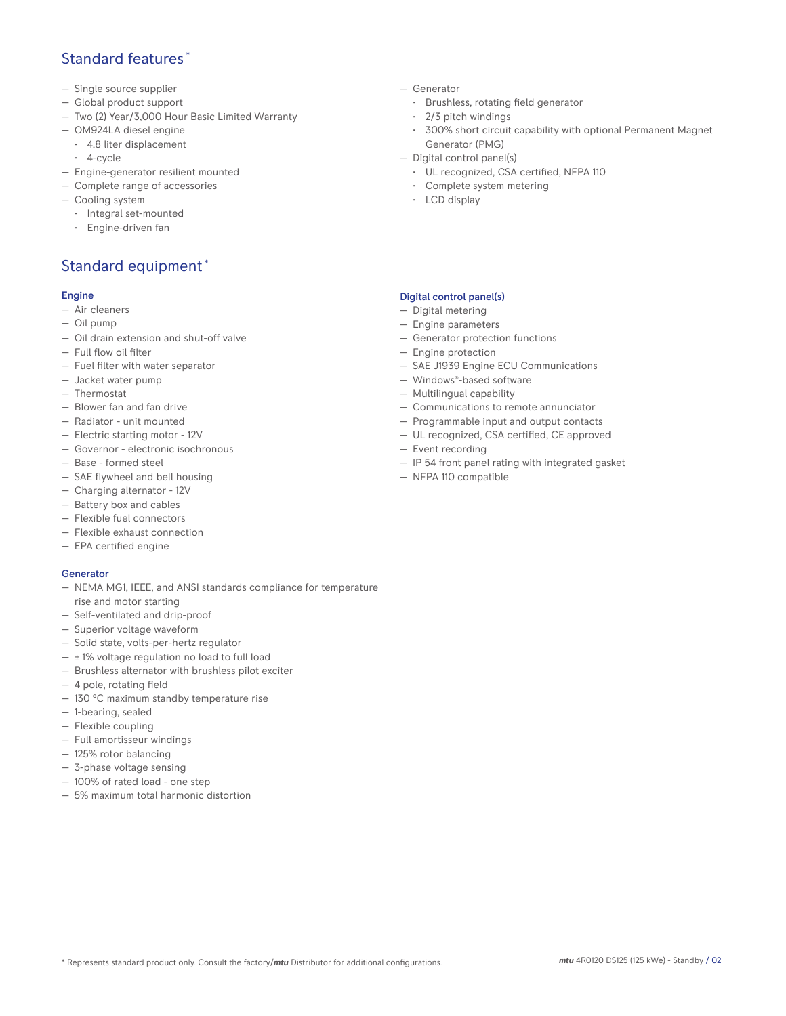# Standard features \*

- Single source supplier
- Global product support
- Two (2) Year/3,000 Hour Basic Limited Warranty
- OM924LA diesel engine
	- 4.8 liter displacement
	- 4-cycle
- Engine-generator resilient mounted
- Complete range of accessories
- Cooling system
	- Integral set-mounted
	- Engine-driven fan

# Standard equipment \*

#### Engine

- Air cleaners
- Oil pump
- Oil drain extension and shut-off valve
- Full flow oil filter
- Fuel filter with water separator
- Jacket water pump
- Thermostat
- Blower fan and fan drive
- Radiator unit mounted
- Electric starting motor 12V
- Governor electronic isochronous
- Base formed steel
- SAE flywheel and bell housing
- Charging alternator 12V
- Battery box and cables
- Flexible fuel connectors
- Flexible exhaust connection
- EPA certified engine

### Generator

- NEMA MG1, IEEE, and ANSI standards compliance for temperature rise and motor starting
- Self-ventilated and drip-proof
- Superior voltage waveform
- Solid state, volts-per-hertz regulator
- $\pm$  1% voltage regulation no load to full load
- Brushless alternator with brushless pilot exciter
- 4 pole, rotating field
- 130 °C maximum standby temperature rise
- 1-bearing, sealed
- Flexible coupling
- Full amortisseur windings
- 125% rotor balancing
- 3-phase voltage sensing
- 100% of rated load one step
- 5% maximum total harmonic distortion
- Generator
	- Brushless, rotating field generator
	- 2/3 pitch windings
	- 300% short circuit capability with optional Permanent Magnet Generator (PMG)
- Digital control panel(s)
	- UL recognized, CSA certified, NFPA 110
	- Complete system metering
	- LCD display

## Digital control panel(s)

- Digital metering
- Engine parameters
- Generator protection functions
- Engine protection
- SAE J1939 Engine ECU Communications
- Windows®-based software
- Multilingual capability
- Communications to remote annunciator
- Programmable input and output contacts
- UL recognized, CSA certified, CE approved
- Event recording
- IP 54 front panel rating with integrated gasket
- NFPA 110 compatible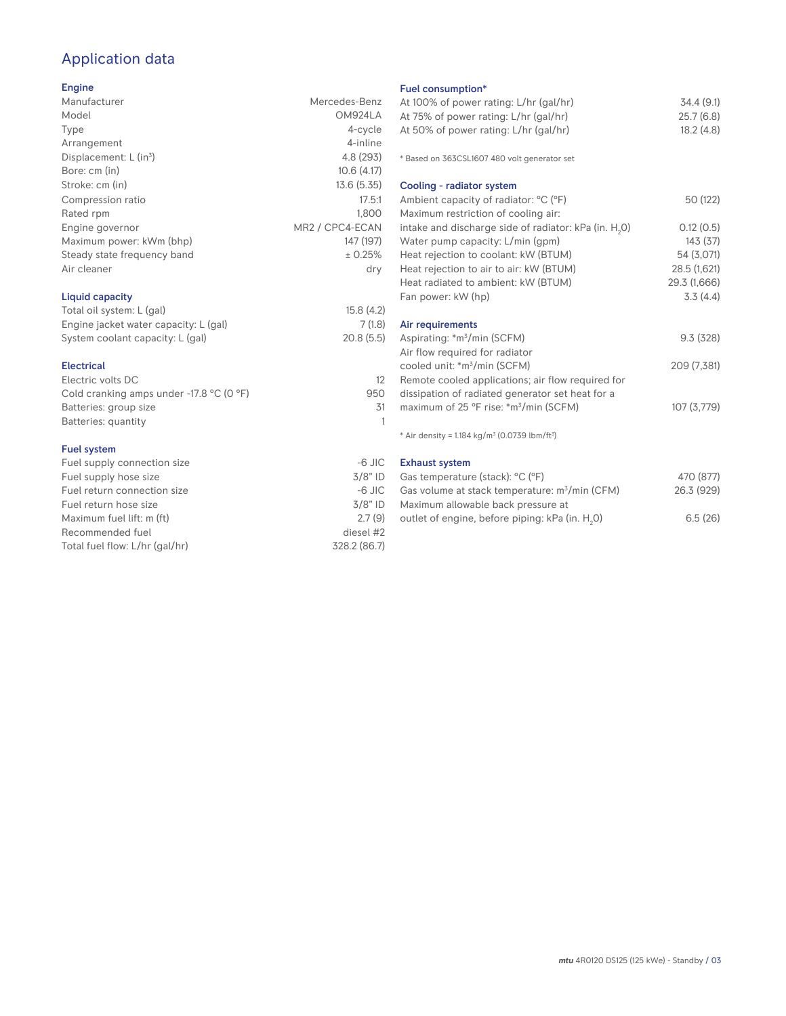# Application data

## Engine

| Manufacturer                         | Mercedes-Benz   |
|--------------------------------------|-----------------|
| Model                                | OM924LA         |
| Type                                 | 4-cycle         |
| Arrangement                          | 4-inline        |
| Displacement: $L$ (in <sup>3</sup> ) | 4.8 (293)       |
| Bore: cm (in)                        | 10.6(4.17)      |
| Stroke: cm (in)                      | 13.6(5.35)      |
| Compression ratio                    | 17.5:1          |
| Rated rpm                            | 1.800           |
| Engine governor                      | MR2 / CPC4-ECAN |
| Maximum power: kWm (bhp)             | 147 (197)       |
| Steady state frequency band          | ± 0.25%         |
| Air cleaner                          | dry             |
| Liquid capacity                      |                 |

| Total oil system: L (gal)             | 15.8(4.2) |
|---------------------------------------|-----------|
| Engine jacket water capacity: L (gal) | 7(1.8)    |
| System coolant capacity: L (gal)      | 20.8(5.5) |
|                                       |           |

## Electrical

| Electric volts DC                                            |     |
|--------------------------------------------------------------|-----|
| Cold cranking amps under -17.8 $^{\circ}$ C (O $^{\circ}$ F) | 950 |
| Batteries: group size                                        | .31 |
| Batteries: quantity                                          |     |
|                                                              |     |

## Fuel system

| $-6$ JIC     |
|--------------|
| $3/8"$ ID    |
| $-6$ JIC     |
| $3/8"$ ID    |
| 2.7(9)       |
| diesel #2    |
| 328.2 (86.7) |
|              |

## Fuel consumption\*

| Fuel consumption <sup>®</sup>                                        |              |
|----------------------------------------------------------------------|--------------|
| At 100% of power rating: L/hr (gal/hr)                               | 34.4(9.1)    |
| At 75% of power rating: L/hr (gal/hr)                                | 25.7(6.8)    |
| At 50% of power rating: L/hr (gal/hr)                                | 18.2(4.8)    |
|                                                                      |              |
| * Based on 363CSL1607 480 volt generator set                         |              |
| Cooling - radiator system                                            |              |
| Ambient capacity of radiator: °C (°F)                                | 50 (122)     |
| Maximum restriction of cooling air:                                  |              |
| intake and discharge side of radiator: kPa (in. H <sub>2</sub> O)    | 0.12(0.5)    |
| Water pump capacity: L/min (gpm)                                     | 143(37)      |
| Heat rejection to coolant: kW (BTUM)                                 | 54 (3,071)   |
| Heat rejection to air to air: kW (BTUM)                              | 28.5 (1,621) |
| Heat radiated to ambient: kW (BTUM)                                  | 29.3 (1,666) |
| Fan power: kW (hp)                                                   | 3.3(4.4)     |
|                                                                      |              |
| Air requirements                                                     |              |
| Aspirating: *m <sup>3</sup> /min (SCFM)                              | 9.3(328)     |
| Air flow required for radiator                                       |              |
| cooled unit: *m <sup>3</sup> /min (SCFM)                             | 209 (7,381)  |
| Remote cooled applications; air flow required for                    |              |
| dissipation of radiated generator set heat for a                     |              |
|                                                                      | 107(3,779)   |
| maximum of 25 °F rise: *m <sup>3</sup> /min (SCFM)                   |              |
| * Air density = $1.184 \text{ kg/m}^3$ (0.0739 lbm/ft <sup>3</sup> ) |              |
| <b>Exhaust system</b>                                                |              |
| Gas temperature (stack): °C (°F)                                     | 470 (877)    |
|                                                                      |              |

| Gas temperature (stack): "C ("F)                            | 4/0(8/7)   |
|-------------------------------------------------------------|------------|
| Gas volume at stack temperature: m <sup>3</sup> /min (CFM)  | 26.3 (929) |
| Maximum allowable back pressure at                          |            |
| outlet of engine, before piping: kPa (in. H <sub>2</sub> O) | 6.5(26)    |
|                                                             |            |